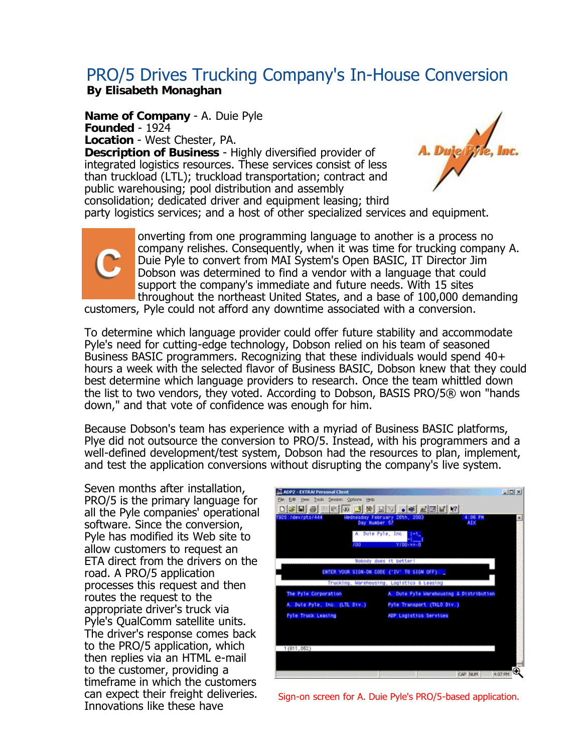## PRO/5 Drives Trucking Company's In-House Conversion **By Elisabeth Monaghan**

**Name of Company** - A. Duie Pyle A. Duje syste, Inc. **Founded** - 1924 **Location** - West Chester, PA. **Description of Business** - Highly diversified provider of integrated logistics resources. These services consist of less than truckload (LTL); truckload transportation; contract and public warehousing; pool distribution and assembly consolidation; dedicated driver and equipment leasing; third party logistics services; and a host of other specialized services and equipment.



onverting from one programming language to another is a process no company relishes. Consequently, when it was time for trucking company A. Duie Pyle to convert from MAI System's Open BASIC, IT Director Jim Dobson was determined to find a vendor with a language that could support the company's immediate and future needs. With 15 sites throughout the northeast United States, and a base of 100,000 demanding

customers, Pyle could not afford any downtime associated with a conversion.

To determine which language provider could offer future stability and accommodate Pyle's need for cutting-edge technology, Dobson relied on his team of seasoned Business BASIC programmers. Recognizing that these individuals would spend 40+ hours a week with the selected flavor of Business BASIC, Dobson knew that they could best determine which language providers to research. Once the team whittled down the list to two vendors, they voted. According to Dobson, BASIS PRO/5® won "hands down," and that vote of confidence was enough for him.

Because Dobson's team has experience with a myriad of Business BASIC platforms, Plye did not outsource the conversion to PRO/5. Instead, with his programmers and a well-defined development/test system, Dobson had the resources to plan, implement, and test the application conversions without disrupting the company's live system.

Seven months after installation, PRO/5 is the primary language for all the Pyle companies' operational software. Since the conversion, Pyle has modified its Web site to allow customers to request an ETA direct from the drivers on the road. A PRO/5 application processes this request and then routes the request to the appropriate driver's truck via Pyle's QualComm satellite units. The driver's response comes back to the PRO/5 application, which then replies via an HTML e-mail to the customer, providing a timeframe in which the customers can expect their freight deliveries. Innovations like these have

| 925: /dev/pts/444             | Mednosday February 20th, 2003<br>Day Number 57 | 4:06 PM<br>AIX |  |
|-------------------------------|------------------------------------------------|----------------|--|
| 700                           | A. Duie Pyle, Inc.<br>Y700-33-0                |                |  |
|                               | Nobody does it better!                         |                |  |
|                               | ENTER YOUR SIGN-ON CODE ("IV" TO SIGN OFF):    |                |  |
|                               | Trucking, Warehousing, Logistics & Leasing     |                |  |
| The Pyle Corporation          | A. Duie Fyle Warehousing & Distribution        |                |  |
| A. Duie Pyle, Inc. (LTL Div.) | Pyle Transport (TKLD Div.)                     |                |  |
| Pyle Truck Leasing            | ADP Logistics Services                         |                |  |
|                               |                                                |                |  |
|                               |                                                |                |  |

Sign-on screen for A. Duie Pyle's PRO/5-based application.